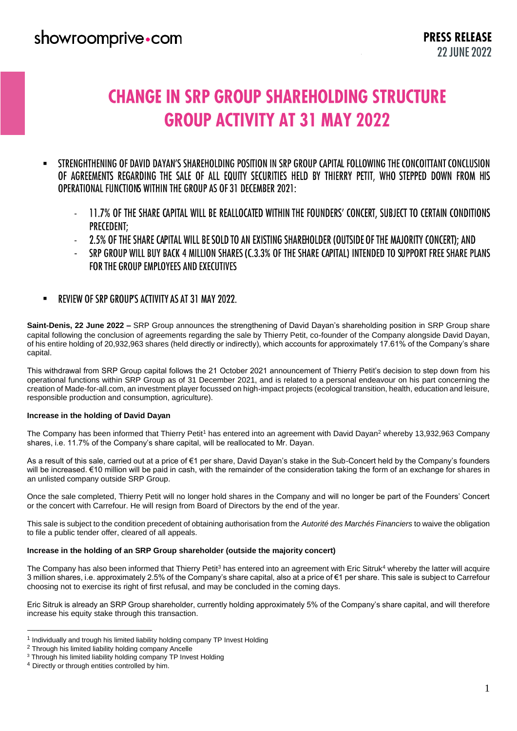# **CHANGE IN SRP GROUP SHAREHOLDING STRUCTURE GROUP ACTIVITY AT 31 MAY 2022**

- STRENGHTHENING OF DAVID DAYAN'S SHAREHOLDING POSITION IN SRP GROUP CAPITAL FOLLOWING THE CONCOITTANT CONCLUSION . OF AGREEMENTS REGARDING THE SALE OF ALL EQUITY SECURITIES HELD BY THIERRY PETIT, WHO STEPPED DOWN FROM HIS OPERATIONAL FUNCTIONS WITHIN THE GROUP AS OF 31 DECEMBER 2021:
	- 11.7% OF THE SHARE CAPITAL WILL BE REALLOCATED WITHIN THE FOUNDERS' CONCERT, SUBJECT TO CERTAIN CONDITIONS - **PRECEDENT:**
	- 2.5% OF THE SHARE CAPITAL WILL BE SOLD TO AN EXISTING SHAREHOLDER (OUTSIDE OF THE MAJORITY CONCERT); AND -
	- SRP GROUP WILL BUY BACK 4 MILLION SHARES (C.3.3% OF THE SHARE CAPITAL) INTENDED TO SUPPORT FREE SHARE PLANS - FOR THE GROUP EMPLOYEES AND EXECUTIVES
- REVIEW OF SRP GROUP'S ACTIVITY AS AT 31 MAY 2022.  $\blacksquare$

**Saint-Denis, 22 June 2022 –** SRP Group announces the strengthening of David Dayan's shareholding position in SRP Group share capital following the conclusion of agreements regarding the sale by Thierry Petit, co-founder of the Company alongside David Dayan, of his entire holding of 20,932,963 shares (held directly or indirectly), which accounts for approximately 17.61% of the Company's share capital.

This withdrawal from SRP Group capital follows the 21 October 2021 announcement of Thierry Petit's decision to step down from his operational functions within SRP Group as of 31 December 2021, and is related to a personal endeavour on his part concerning the creation of Made-for-all.com, an investment player focussed on high-impact projects (ecological transition, health, education and leisure, responsible production and consumption, agriculture).

#### **Increase in the holding of David Dayan**

The Company has been informed that Thierry Petit<sup>1</sup> has entered into an agreement with David Dayan<sup>2</sup> whereby 13,932,963 Company shares, i.e. 11.7% of the Company's share capital, will be reallocated to Mr. Dayan.

As a result of this sale, carried out at a price of €1 per share, David Dayan's stake in the Sub-Concert held by the Company's founders will be increased. €10 million will be paid in cash, with the remainder of the consideration taking the form of an exchange for shares in an unlisted company outside SRP Group.

Once the sale completed, Thierry Petit will no longer hold shares in the Company and will no longer be part of the Founders' Concert or the concert with Carrefour. He will resign from Board of Directors by the end of the year.

This sale is subject to the condition precedent of obtaining authorisation from the *Autorité des Marchés Financiers* to waive the obligation to file a public tender offer, cleared of all appeals.

#### **Increase in the holding of an SRP Group shareholder (outside the majority concert)**

The Company has also been informed that Thierry Petit<sup>3</sup> has entered into an agreement with Eric Sitruk<sup>4</sup> whereby the latter will acquire 3 million shares, i.e. approximately 2.5% of the Company's share capital, also at a price of €1 per share. This sale is subject to Carrefour choosing not to exercise its right of first refusal, and may be concluded in the coming days.

Eric Sitruk is already an SRP Group shareholder, currently holding approximately 5% of the Company's share capital, and will therefore increase his equity stake through this transaction.

 $\overline{a}$ 

<sup>&</sup>lt;sup>1</sup> Individually and trough his limited liability holding company TP Invest Holding

<sup>2</sup> Through his limited liability holding company Ancelle

<sup>&</sup>lt;sup>3</sup> Through his limited liability holding company TP Invest Holding

<sup>4</sup> Directly or through entities controlled by him.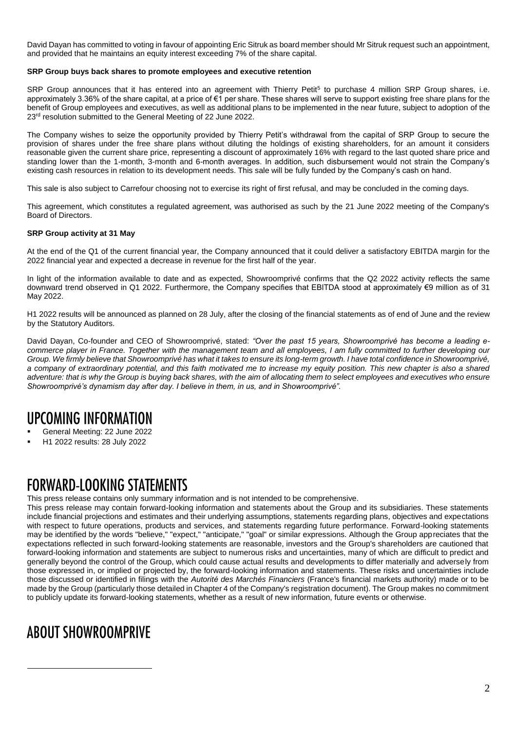David Dayan has committed to voting in favour of appointing Eric Sitruk as board member should Mr Sitruk request such an appointment, and provided that he maintains an equity interest exceeding 7% of the share capital.

#### **SRP Group buys back shares to promote employees and executive retention**

SRP Group announces that it has entered into an agreement with Thierry Petit<sup>5</sup> to purchase 4 million SRP Group shares, i.e. approximately 3.36% of the share capital, at a price of €1 per share. These shares will serve to support existing free share plans for the benefit of Group employees and executives, as well as additional plans to be implemented in the near future, subject to adoption of the 23<sup>rd</sup> resolution submitted to the General Meeting of 22 June 2022.

The Company wishes to seize the opportunity provided by Thierry Petit's withdrawal from the capital of SRP Group to secure the provision of shares under the free share plans without diluting the holdings of existing shareholders, for an amount it considers reasonable given the current share price, representing a discount of approximately 16% with regard to the last quoted share price and standing lower than the 1-month, 3-month and 6-month averages. In addition, such disbursement would not strain the Company's existing cash resources in relation to its development needs. This sale will be fully funded by the Company's cash on hand.

This sale is also subject to Carrefour choosing not to exercise its right of first refusal, and may be concluded in the coming days.

This agreement, which constitutes a regulated agreement, was authorised as such by the 21 June 2022 meeting of the Company's Board of Directors.

#### **SRP Group activity at 31 May**

At the end of the Q1 of the current financial year, the Company announced that it could deliver a satisfactory EBITDA margin for the 2022 financial year and expected a decrease in revenue for the first half of the year.

In light of the information available to date and as expected, Showroomprivé confirms that the Q2 2022 activity reflects the same downward trend observed in Q1 2022. Furthermore, the Company specifies that EBITDA stood at approximately €9 million as of 31 May 2022.

H1 2022 results will be announced as planned on 28 July, after the closing of the financial statements as of end of June and the review by the Statutory Auditors.

David Dayan, Co-founder and CEO of Showroomprivé, stated: *"Over the past 15 years, Showroomprivé has become a leading ecommerce player in France. Together with the management team and all employees, I am fully committed to further developing our Group. We firmly believe that Showroomprivé has what it takes to ensure its long-term growth. I have total confidence in Showroomprivé, a company of extraordinary potential, and this faith motivated me to increase my equity position. This new chapter is also a shared*  adventure: that is why the Group is buying back shares, with the aim of allocating them to select employees and executives who ensure *Showroomprivé's dynamism day after day. I believe in them, in us, and in Showroomprivé".*

## **UPCOMING INFORMATION**

- General Meeting: 22 June 2022
- H1 2022 results: 28 July 2022

### **FORWARD-LOOKING STATEMENTS**

This press release contains only summary information and is not intended to be comprehensive.

This press release may contain forward-looking information and statements about the Group and its subsidiaries. These statements include financial projections and estimates and their underlying assumptions, statements regarding plans, objectives and expectations with respect to future operations, products and services, and statements regarding future performance. Forward-looking statements may be identified by the words "believe," "expect," "anticipate," "goal" or similar expressions. Although the Group appreciates that the expectations reflected in such forward-looking statements are reasonable, investors and the Group's shareholders are cautioned that forward-looking information and statements are subject to numerous risks and uncertainties, many of which are difficult to predict and generally beyond the control of the Group, which could cause actual results and developments to differ materially and adversely from those expressed in, or implied or projected by, the forward-looking information and statements. These risks and uncertainties include those discussed or identified in filings with the *Autorité des Marchés Financiers* (France's financial markets authority) made or to be made by the Group (particularly those detailed in Chapter 4 of the Company's registration document). The Group makes no commitment to publicly update its forward-looking statements, whether as a result of new information, future events or otherwise.

## **AROUT SHOWROOMPRIVE**

 $\overline{a}$